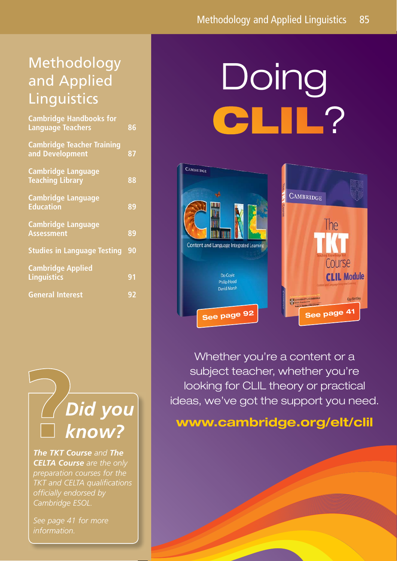# Methodology and Applied **Linguistics**

| <b>Cambridge Handbooks for</b><br><b>Language Teachers</b> | 86 |
|------------------------------------------------------------|----|
| <b>Cambridge Teacher Training</b><br>and Development       | 87 |
| <b>Cambridge Language</b><br><b>Teaching Library</b>       | 88 |
| <b>Cambridge Language</b><br><b>Education</b>              | 89 |
| <b>Cambridge Language</b><br><b>Assessment</b>             | 89 |
| <b>Studies in Language Testing</b>                         | 90 |
| <b>Cambridge Applied</b><br><b>Linguistics</b>             | 91 |
| <b>General Interest</b>                                    | 92 |
|                                                            |    |

# *Did you know?*

*The TKT Course and The CELTA Course are the only preparation courses for the TKT and CELTA qualifications offi cially endorsed by Cambridge ESOL.* 

*See page 41 for more information.*

# Doing ?



Whether you're a content or a subject teacher, whether you're looking for CLIL theory or practical ideas, we've got the support you need.

# **www.cambridge.org/elt/clil**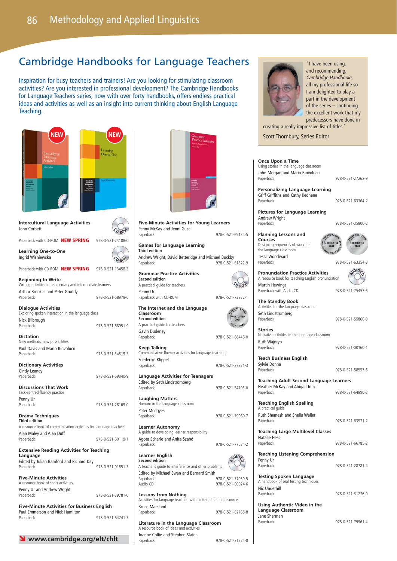# Cambridge Handbooks for Language Teachers

Inspiration for busy teachers and trainers! Are you looking for stimulating classroom activities? Are you interested in professional development? The Cambridge Handbooks for Language Teachers series, now with over forty handbooks, offers endless practical ideas and activities as well as an insight into current thinking about English Language Teaching.

| <b>NEW</b>                                                                                | NEW               | Grammar<br><b>Practice Activities</b>                                                     |                            |
|-------------------------------------------------------------------------------------------|-------------------|-------------------------------------------------------------------------------------------|----------------------------|
|                                                                                           | Learning          |                                                                                           |                            |
| Intercultural<br>Language<br>Activities                                                   | One-to-One        |                                                                                           |                            |
| <b>John Carlers</b>                                                                       |                   |                                                                                           |                            |
|                                                                                           |                   |                                                                                           |                            |
|                                                                                           |                   |                                                                                           |                            |
|                                                                                           |                   |                                                                                           |                            |
|                                                                                           |                   |                                                                                           |                            |
|                                                                                           |                   |                                                                                           |                            |
| <b>Intercultural Language Activities</b><br>John Corbett                                  |                   | <b>Five-Minute Activities for Young Learners</b><br>Penny McKay and Jenni Guse            |                            |
|                                                                                           |                   | Paperback                                                                                 | 978-0-521-69134-5          |
| Paperback with CD-ROM <b>NEW SPRING</b>                                                   | 978-0-521-74188-0 | <b>Games for Language Learning</b>                                                        |                            |
| <b>Learning One-to-One</b><br>Ingrid Wisniewska                                           |                   | <b>Third edition</b><br>Andrew Wright, David Betteridge and Michael Buckby                |                            |
|                                                                                           | 978-0-521-13458-3 | Paperback                                                                                 | 978-0-521-61822-9          |
| Paperback with CD-ROM <b>NEW SPRING</b>                                                   |                   | <b>Grammar Practice Activities</b><br><b>Second edition</b>                               |                            |
| <b>Beginning to Write</b><br>Writing activities for elementary and intermediate learners  |                   | A practical guide for teachers                                                            |                            |
| Arthur Brookes and Peter Grundy                                                           |                   | Penny Ur                                                                                  |                            |
| Paperback                                                                                 | 978-0-521-58979-6 | Paperback with CD-ROM                                                                     | 978-0-521-73232-1          |
| <b>Dialogue Activities</b><br>Exploring spoken interaction in the language class          |                   | The Internet and the Language<br>Classroom                                                |                            |
| Nick Bilbrough                                                                            |                   | <b>Second edition</b>                                                                     | <b>SHORTLISTED</b><br>2001 |
| Paperback                                                                                 | 978-0-521-68951-9 | A practical guide for teachers                                                            | <b>AST EDITION</b>         |
| <b>Dictation</b>                                                                          |                   | Gavin Dudeney<br>Paperback                                                                | 978-0-521-68446-0          |
| New methods, new possibilities<br>Paul Davis and Mario Rinvolucri                         |                   | Keep Talking                                                                              |                            |
| Paperback                                                                                 | 978-0-521-34819-5 | Communicative fluency activities for language teaching                                    |                            |
| <b>Dictionary Activities</b>                                                              |                   | Friederike Klippel<br>Paperback                                                           | 978-0-521-27871-3          |
| Cindy Leaney                                                                              |                   |                                                                                           |                            |
| Paperback                                                                                 | 978-0-521-69040-9 | <b>Language Activities for Teenagers</b><br>Edited by Seth Lindstromberg                  |                            |
| <b>Discussions That Work</b>                                                              |                   | Paperback                                                                                 | 978-0-521-54193-0          |
| Task-centred fluency practice<br>Penny Ur                                                 |                   | <b>Laughing Matters</b>                                                                   |                            |
| Paperback                                                                                 | 978-0-521-28169-0 | Humour in the language classroom<br>Peter Medgyes                                         |                            |
| Drama Techniques                                                                          |                   | Paperback                                                                                 | 978-0-521-79960-7          |
| <b>Third edition</b><br>A resource book of communication activities for language teachers |                   | <b>Learner Autonomy</b>                                                                   |                            |
| Alan Maley and Alan Duff                                                                  |                   | A guide to developing learner responsibility                                              |                            |
| Paperback                                                                                 | 978-0-521-60119-1 | Agota Scharle and Anita Szabó<br>Paperback                                                | 978-0-521-77534-2          |
| <b>Extensive Reading Activities for Teaching</b><br>Language                              |                   | Learner English                                                                           |                            |
| Edited by Julian Bamford and Richard Day                                                  |                   | <b>Second edition</b>                                                                     | JDIO                       |
| Paperback                                                                                 | 978-0-521-01651-3 | A teacher's guide to interference and other problems                                      |                            |
| <b>Five-Minute Activities</b>                                                             |                   | Edited by Michael Swan and Bernard Smith<br>Paperback                                     | 978-0-521-77939-5          |
| A resource book of short activities<br>Penny Ur and Andrew Wright                         |                   | Audio CD                                                                                  | 978-0-521-00024-6          |
| Paperback                                                                                 | 978-0-521-39781-0 | <b>Lessons from Nothing</b>                                                               |                            |
| <b>Five-Minute Activities for Business English</b>                                        |                   | Activities for language teaching with limited time and resources<br><b>Bruce Marsland</b> |                            |
| Paul Emmerson and Nick Hamilton                                                           |                   | Paperback                                                                                 | 978-0-521-62765-8          |
| Paperback                                                                                 | 978-0-521-54741-3 | Literature in the Language Classroom                                                      |                            |
|                                                                                           |                   | A resource book of ideas and activities                                                   |                            |

Joanne Collie and Stephen Slater

Paperback 978-0-521-31224-0



"I have been using, and recommending, Cambridge Handbooks all my professional life so I am delighted to play a part in the development of the series – continuing the excellent work that my predecessors have done in

creating a really impressive list of titles." **Scott Thornbury, Series Editor** 

### **Once Upon a Time**

Using stories in the language classroom John Morgan and Mario Rinvolucri Paperback 978-0-521-27262-9

**Personalizing Language Learning** Griff Griffiths and Kathy Keohane Paperback 978-0-521-63364-2

**Pictures for Language Learning** Andrew Wright Paperback 978-0-521-35800-2

**Planning Lessons and Courses** Designing sequences of work for the language classroom Tessa Woodward



Paperback 978-0-521-63354-3

**Pronunciation Practice Activities** A resource book for teaching English pronunciation Martin Hewings Paperback with Audio CD 978-0-521-75457-6



### **The Standby Book** Activities for the language classroom Seth Lindstromberg Paperback 978-0-521-55860-0

**Stories** Narrative activities in the language classroom Ruth Wajnryb

**Teach Business English** Sylvie Donna<br>Panerback

978-0-521-58557-6

978-0-521-00160-1

**Teaching Adult Second Language Learners** Heather McKay and Abigail Tom Paperback 2002 2003 078-0-521-64990-2

**Teaching English Spelling** A practical quid

Ruth Shemesh and Sheila Waller Paperback 978-0-521-63971-2

**Teaching Large Multilevel Classes** Natalie Hess<br>Paperback

978-0-521-66785-2

**Teaching Listening Comprehension** Penny Ur<br>Paperback

Paperback 978-0-521-28781-4

**Testing Spoken Language** A handbook of oral testing techniques Nic Underhill Paperback 978-0-521-31276-9

**Using Authentic Video in the Language Classroom** Jane Sherman<br>Paperback

978-0-521-79961-4

Ó **www.cambridge.org/elt/chlt**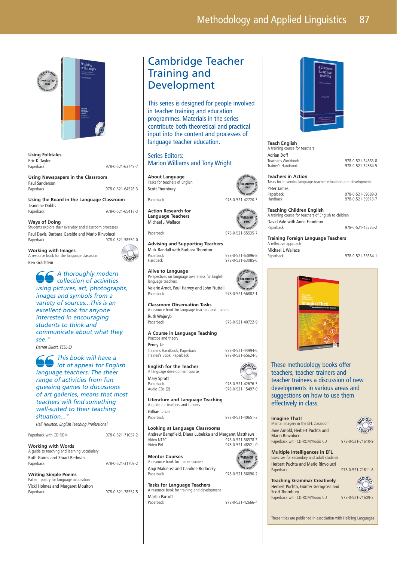

**Using Folktales** Eric K. Taylor<br>Paperback 978-0-521-63749-7

**Using Newspapers in the Classroom** Paul Sanderson Paperback 978-0-521-64526-3

**Using the Board in the Language Classroom** Jeannine Dobbs<br>Paperback Paperback 978-0-521-65417-3

**Ways of Doing** Students explore their everyday and classroom processes Paul Davis, Barbara Garside and Mario Rinvolucri Paperback 978-0-521-58559-0

**Working with Images**  A resource book for the language classroom

Ben Goldstein

A thoroughly modern collection of activities using pictures, art, photographs, images and symbols from a variety of sources...This is an excellent book for anyone interested in encouraging students to think and communicate about what they see."

Darren Elliott, TESL-EJ

This book will have a lot of appeal for English language teachers. The sheer range of activities from fun guessing games to discussions of art galleries, means that most teachers will find something well-suited to their teaching situation...'

Hall Houston, English Teaching Professional



Cambridge Teacher Training and Development

This series is designed for people involved in teacher training and education programmes. Materials in the series contribute both theoretical and practical input into the content and processes of language teacher education.

Series Editors: Marion Williams and Tony Wright

**About Language** Tasks for teachers of English Scott Thornbury

**Action Research for Language Teachers** Michael J. Wallace

**<sup>C</sup> <sup>D</sup>-R<sup>O</sup> <sup>M</sup>**

**Advising and Supporting Teachers** Mick Randall with Barbara Thornton Paperback 978-0-521-63896-8

**Alive to Language** Perspectives on language awareness for English language teachers Valerie Arndt, Paul Harvey and John Nuttall Paperback 978-0-521-56882-1

**Classroom Observation Tasks** A resource book for language teachers and trainers Ruth Wajnryb Paperback 978-0-521-40722-9

**A Course in Language Teaching** Practice and theory

Penny Ur Trainer's Handbook, Paperback 978-0-521-44994-6<br>Trainee's Book, Paperback 978-0-521-65624-5 Trainer's Handbook, Laper

**English for the Teacher** A language development course

Mary Spratt Paperback 978-0-521-42676-3

**Literature and Language Teaching** A guide for teachers and trainers Gillian Lazar Paperback 978-0-521-40651-2

**Looking at Language Classrooms** Andrew Bampfield, Diana Lubelska and Margaret Matthews<br>Video NTSC 978-0-521-56578-Video NTSC 978-0-521-56578-3 978-0-521-48521-0 BEN WARR

**Mentor Courses** A resource book for trainer-trainers Angi Malderez and Caroline Bodóczky Paperback 978-0-521-56690-2

**Tasks for Language Teachers** A resource book for training and development Martin Parrott Paperback 978-0-521-42666-4



**Teach English** A training course for teachers Adrian Doff<br>Teacher's Workbook Teacher's Workbook 978-0-521-34863-8

978-0-521-34864-5

**Teachers in Action** Tasks for in-service language teacher education and development Peter James Paperback 978-0-521-59689-3 978-0-521-59313-7

**Teaching Children English** A training course for teachers of English to children David Vale with Anne Feunteun<br>Paperback

978-0-521-42235-2

**Training Foreign Language Teachers** A reflective approach Michael J. Wallace<br>Paperback

Paperback 978-0-521-35654-1



These methodology books offer teachers, teacher trainers and teacher trainees a discussion of new developments in various areas and suggestions on how to use them effectively in class.

### **Imagine That!**

Mental imagery in the EFL classroom Jane Arnold, Herbert Puchta and Mario Rinvolucri Paperback with CD-ROM/Audio CD 978-0-521-71610-9



### **Multiple Intelligences in EFL**

Exercises for secondary and adult students Herbert Puchta and Mario Rinvolucri Paperback 978-0-521-71611-6

| <b>Teaching Grammar Creatively</b>   |
|--------------------------------------|
| Herbert Puchta, Günter Gerngross and |
| <b>Scott Thornbury</b>               |
| Paperback with CD-ROM/Audio CD<br>Ć  |

78-0-521-71609-3  $O$ - $RO^6$  $\frac{1}{2}$ 

These titles are published in association with Helbling Languages



1997

978-0-521-63085-6

ORTLISTED



**D**<sub>IO</sub>

978-0-521-15497-0

WINNER 1999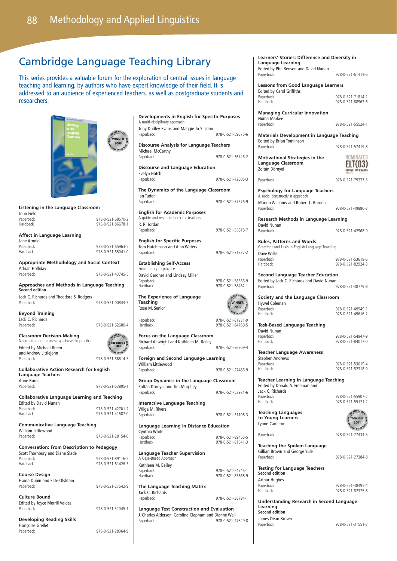# Cambridge Language Teaching Library

This series provides a valuable forum for the exploration of central issues in language teaching and learning, by authors who have expert knowledge of their field. It is addressed to an audience of experienced teachers, as well as postgraduate students and researchers.



| Listening in the Language Classroom                                                  |                                            |  |
|--------------------------------------------------------------------------------------|--------------------------------------------|--|
| John Field<br>Paperback<br>Hardback                                                  | 978-0-521-68570-2<br>978-0-521-86678-1     |  |
| <b>Affect in Language Learning</b><br>Jane Arnold                                    |                                            |  |
| Paperback<br>Hardback                                                                | 978-0-521-65963-5<br>978-0-521-65041-0     |  |
| Appropriate Methodology and Social Context                                           |                                            |  |
| Adrian Holliday<br>Paperback                                                         | 978-0-521-43745-5                          |  |
| Approaches and Methods in Language Teaching<br><b>Second edition</b>                 |                                            |  |
| Jack C. Richards and Theodore S. Rodgers<br>Paperback                                | 978-0-521-00843-3                          |  |
| <b>Beyond Training</b><br>Jack C. Richards<br>Paperback                              | 978-0-521-62680-4                          |  |
| <b>Classroom Decision-Making</b><br>Negotiation and process syllabuses in practice   | WE BEN WARREN<br><b>IORTLISTED</b><br>2000 |  |
| <b>Edited by Michael Breen</b><br>and Andrew Littlejohn<br>Paperback                 | ONAL HOUSE TO<br>978-0-521-66614-5         |  |
| <b>Collaborative Action Research for English</b><br><b>Language Teachers</b>         |                                            |  |
| Anne Burns<br>Paperback                                                              | 978-0-521-63895-1                          |  |
| <b>Collaborative Language Learning and Teaching</b>                                  |                                            |  |
| <b>Edited by David Nunan</b><br>Paperback<br>Hardback                                | 978-0-521-42701-2<br>978-0-521-41687-0     |  |
| <b>Communicative Language Teaching</b>                                               |                                            |  |
| <b>William Littlewood</b><br>Paperback                                               | 978-0-521-28154-6                          |  |
| <b>Conversation: From Description to Pedagogy</b><br>Scott Thornbury and Diana Slade |                                            |  |
| Paperback<br>Hardback                                                                | 978-0-521-89116-5<br>978-0-521-81426-3     |  |
| <b>Course Design</b><br>Fraida Dubin and Elite Olshtain<br>Paperback                 | 978-0-521-27642-9                          |  |
| <b>Culture Bound</b><br><b>Edited by Joyce Merrill Valdes</b><br>Paperback           | 978-0-521-31045-1                          |  |
| <b>Developing Reading Skills</b><br><b>Francoise Grellet</b>                         |                                            |  |
| Panerback                                                                            | 978-0-521-28364-9                          |  |

| <b>Developments in English for Specific Purposes</b><br>A multi-disciplinary approach          |                                                      |  |
|------------------------------------------------------------------------------------------------|------------------------------------------------------|--|
| Tony Dudley-Evans and Maggie Jo St John<br>Paperback                                           | 978-0-521-59675-6                                    |  |
| <b>Discourse Analysis for Language Teachers</b><br>Michael McCarthy                            |                                                      |  |
| Paperback                                                                                      | 978-0-521-36746-2                                    |  |
| <b>Discourse and Language Education</b><br>Evelyn Hatch<br>Paperback                           | 978-0-521-42605-3                                    |  |
| The Dynamics of the Language Classroom                                                         |                                                      |  |
| lan Tudor<br>Paperback                                                                         | 978-0-521-77676-9                                    |  |
| <b>English for Academic Purposes</b><br>A quide and resource book for teachers<br>R. R. Jordan |                                                      |  |
| Paperback                                                                                      | 978-0-521-55618-7                                    |  |
| <b>English for Specific Purposes</b><br>Tom Hutchinson and Alan Waters                         | 978-0-521-31837-2                                    |  |
| Paperback<br><b>Establishing Self-Access</b>                                                   |                                                      |  |
| From theory to practice                                                                        |                                                      |  |
| David Gardner and Lindsay Miller<br>Paperback<br>Hardback                                      | 978-0-521-58556-9<br>978-0-521-58482-1               |  |
| The Experience of Language<br><b>Teaching</b><br>Rose M. Senior                                | BEN WARREN<br>VINNER<br>2005<br><b>ONAL HOUSE TR</b> |  |
| Paperback<br>Hardback                                                                          | 978-0-521-61231-9<br>978-0-521-84760-5               |  |
| Focus on the Language Classroom<br>Richard Allwright and Kathleen M. Bailey<br>Paperback       | 978-0-521-26909-4                                    |  |
| Foreign and Second Language Learning                                                           |                                                      |  |
| William Littlewood<br>Paperback                                                                | 978-0-521-27486-9                                    |  |
| Group Dynamics in the Language Classroom                                                       |                                                      |  |
| Zoltán Dörnyei and Tim Murphey<br>Paperback                                                    | 978-0-521-52971-6                                    |  |
| <b>Interactive Language Teaching</b>                                                           |                                                      |  |
| Wilga M. Rivers<br>Paperback                                                                   | 978-0-521-31108-3                                    |  |
| <b>Language Learning in Distance Education</b><br>Cynthia White                                |                                                      |  |
| Paperback<br>Hardback                                                                          | 978-0-521-89455-5<br>978-0-521-81541-3               |  |
| <b>Language Teacher Supervision</b><br>A Case-Based Approach                                   |                                                      |  |
| Kathleen M. Bailey<br>Paperback                                                                | 978-0-521-54745-1                                    |  |
| Hardback                                                                                       | 978-0-521-83868-9                                    |  |
| The Language Teaching Matrix<br>Jack C. Richards<br>Paperback                                  | 978-0-521-38794-1                                    |  |
| <b>Language Test Construction and Evaluation</b>                                               |                                                      |  |
| J. Charles Alderson, Caroline Clapham and Dianne Wall<br>Panerback                             | 978-0-521-47829-8                                    |  |

**Learners' Stories: Difference and Diversity in Language Learning** Edited by Phil Benson and David Nunan Paperback 978-0-521-61414-6

**Lessons from Good Language Learners** Edited by Carol Griffiths Paperback

| Luited by Carol Official |                   |
|--------------------------|-------------------|
| Paperback                | 978-0-521-71814-1 |
| Hardback                 | 978-0-521-88963-6 |
|                          |                   |

**Managing Curricular Innovation** Numa Markee Paperback 978-0-521-55524-1

**Materials Development in Language Teaching** Edited by Brian Tomlinson Paperback 978-0-521-57419-8

Paperback 978-0-521-79377-3

**Motivational Strategies in the Language Classroom** Zoltán Dörnyei

MOMINATER  $ELT(03)$ 

**Psychology for Language Teachers** A social constructivist approach

Marion Williams and Robert L. Burden Paperback 978-0-521-49880-7

David Nunan<br>Paperback

**Research Methods in Language Learning** Paperback 978-0-521-42968-9

**Rules, Patterns and Words** Grammar and Lexis in English Language Teaching Dave Willis Paperback 978-0-521-53619-6

978-0-521-82924-3

**Second Language Teacher Education** Edited by Jack C. Richards and David Nunan<br>Paperback Paperback 978-0-521-38779-8

| Society and the Language Classroom |                   |  |
|------------------------------------|-------------------|--|
| Hywel Coleman                      |                   |  |
| Paperback                          | 978-0-521-49949-1 |  |
| Hardback                           | 978-0-521-49616-2 |  |

| Task-Based Language Teaching<br>David Nunan |                   |
|---------------------------------------------|-------------------|
| Paperback                                   | 978-0-521-54947-9 |
| Hardback                                    | 978-0-521-84017-0 |

**Teacher Language Awareness** Stephen Andrews<br>Paperback<br>Hardback 978-0-521-53019-4 Hardback 978-0-521-82318-0

**Teacher Learning in Language Teaching** Edited by Donald A. Freeman and Jack C. Richards Paperback Hardback

| 978-0-521-55907-2 |  |
|-------------------|--|
| 978-0-521-55121-2 |  |

.<br>WINNEI

**Teaching Languages to Young Learners** Lynne Cameron

Paperback 978-0-521-77434-5

Paperback 978-0-521-27384-8

**Testing for Language Teachers Second edition** Arthur Hughes

**Teaching the Spoken Language** Gillian Brown and George Yule<br>Paperback

Paperback 978-0-521-48495-4<br>
Hardback 978-0-521-82325-8 978-0-521-82325-8

**Understanding Research in Second Language Learning Second edition** James Dean Brown Paperback 978-0-521-31551-7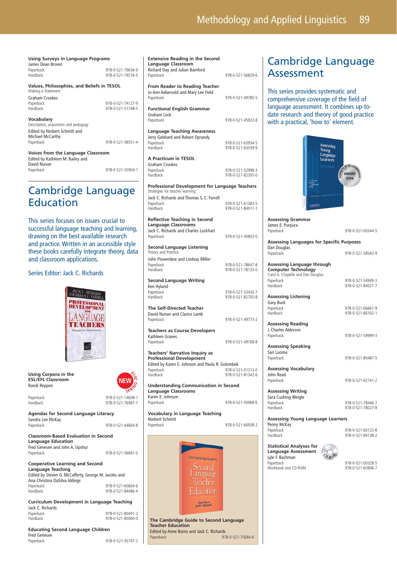| Using Surveys in Language Programs<br>James Dean Brown           |                                        |  |
|------------------------------------------------------------------|----------------------------------------|--|
| Paperback<br>Hardback                                            | 978-0-521-79656-9<br>978-0-521-79216-5 |  |
| Values, Philosophies, and Beliefs in TESOL<br>Making a Statement |                                        |  |
| Graham Crookes                                                   |                                        |  |
| Paperback                                                        | 978-0-521-74127-9                      |  |
| Hardback                                                         | 978-0-521-51748-5                      |  |
| Vocabulary                                                       |                                        |  |
| Description, acquisition and pedagogy                            |                                        |  |
| Edited by Norbert Schmitt and<br>Michael McCarthy                |                                        |  |
|                                                                  | 978-0-521-58551-4                      |  |
| Paperback                                                        |                                        |  |
| <b>Voices from the Language Classroom</b>                        |                                        |  |
| Edited by Kathleen M. Bailey and                                 |                                        |  |
| David Nunan                                                      |                                        |  |
| Paperback                                                        | 978-0-521-55904-1                      |  |

# Cambridge Language **Education**

This series focuses on issues crucial to successful language teaching and learning, drawing on the best available research and practice. Written in an accessible style these books carefully integrate theory, data and classroom applications.

### Series Editor: Jack C. Richards



**Using Corpora in the ESL/EFL Classroom** Randi Reppen



Paperback 978-0-521-14608-1 Hardback 978-0-521-76987-7

**Agendas for Second Language Literacy** Sandra Lee McKay 978-0-521-44664-8

**Classroom-Based Evaluation in Second** 

**Language Education** Fred Genesee and John A. Upshur Paperback 978-0-521-56681-0

### **Cooperative Learning and Second Language Teaching**

Edited by Steven G. McCafferty, George M. Jacobs and Ana Christina DaSilva Iddings Paperback 978-0-521-60664-6 978-0-521-84486-4

**Curriculum Development in Language Teaching** Jack C. Richards Paperback 978-0-521-80491-2 978-0-521-80060-0

**Educating Second Language Children** Fred Genesee Paperback 978-0-521-45797-2

| Language Classroom<br>Richard Day and Julian Bamford<br>Paperback                                                        | 978-0-521-56829-6                      |  |
|--------------------------------------------------------------------------------------------------------------------------|----------------------------------------|--|
| <b>From Reader to Reading Teacher</b><br>Jo Ann Aebersold and Mary Lee Field                                             |                                        |  |
| Paperback                                                                                                                | 978-0-521-49785-5                      |  |
| <b>Functional English Grammar</b><br>Graham Lock                                                                         |                                        |  |
| Paperback                                                                                                                | 978-0-521-45922-8                      |  |
| Language Teaching Awareness<br>Jerry Gebhard and Robert Oprandy<br>Paperback<br>Hardback                                 | 978-0-521-63954-5<br>978-0-521-63039-9 |  |
| A Practicum in TESOL<br>Graham Crookes<br>Paperback                                                                      | 978-0-521-52998-3                      |  |
| Hardback                                                                                                                 | 978-0-521-82305-0                      |  |
| <b>Professional Development for Language Teachers</b><br>Strategies for teacher learning                                 |                                        |  |
| Jack C. Richards and Thomas S. C. Farrell<br>Paperback                                                                   | 978-0-521-61383-5                      |  |
| Hardback                                                                                                                 | 978-0-521-84911-1                      |  |
| <b>Reflective Teaching in Second</b><br><b>Language Classrooms</b><br>Jack C. Richards and Charles Lockhart<br>Paperback | 978-0-521-45803-0                      |  |
|                                                                                                                          |                                        |  |
| <b>Second Language Listening</b><br>Theory and Practice                                                                  |                                        |  |
| John Flowerdew and Lindsay Miller<br>Paperback<br>Hardback                                                               | 978-0-521-78647-8<br>978-0-521-78135-0 |  |
| <b>Second Language Writing</b>                                                                                           |                                        |  |
| Ken Hyland<br>Paperback<br>Hardback                                                                                      | 978-0-521-53430-7<br>978-0-521-82705-8 |  |
| The Self-Directed Teacher<br>David Nunan and Clarice Lamb<br>Paperback                                                   | 978-0-521-49773-2                      |  |
| Teachers as Course Developers<br>Kathleen Graves<br>Paperback                                                            | 978-0-521-49768-8                      |  |
| <b>Teachers' Narrative Inquiry as</b>                                                                                    |                                        |  |
| <b>Professional Development</b><br>Edited by Karen E. Johnson and Paula R. Golombek<br>Paperback                         | 978-0-521-01313-0                      |  |
| Hardback                                                                                                                 | 978-0-521-81342-6                      |  |
| <b>Understanding Communication in Second</b><br><b>Language Classrooms</b>                                               |                                        |  |
| Karen E. Johnson<br>Paperback                                                                                            | 978-0-521-45968-6                      |  |
| Vocabulary in Language Teaching<br>Norbert Schmitt                                                                       |                                        |  |
| Paperback                                                                                                                | 978-0-521-66938-2                      |  |
| The Cambridge Guide to<br>eacl                                                                                           |                                        |  |

**Extensive Reading in the Second** 

**The Cambridge Guide to Second Language Teacher Education** Edited by Anne Burns and Jack C. Richards<br>Paperback 97 Paperback 978-0-521-75684-6

Anne Burns<br>Jack C. Richards

# Cambridge Language Assessment

This series provides systematic and comprehensive coverage of the field of language assessment. It combines up-todate research and theory of good practice with a practical, 'how to' element.



|                    | <b>Assessing Grammar</b><br>James E. Purpura                                                  |                                        |
|--------------------|-----------------------------------------------------------------------------------------------|----------------------------------------|
| $803-0$            | Paperback                                                                                     | 978-0-521-00344-5                      |
|                    | <b>Assessing Languages for Specific Purposes</b><br>Dan Douglas                               |                                        |
|                    | Paperback                                                                                     | 978-0-521-58543-9                      |
| 647-8<br>$135 - 0$ | Assessing Language through<br><b>Computer Technology</b><br>Carol A. Chapelle and Dan Douglas |                                        |
|                    | Paperback<br>Hardback                                                                         | 978-0-521-54949-3<br>978-0-521-84021-7 |
| 430-7<br>705-8     | <b>Assessing Listening</b><br><b>Gary Buck</b>                                                |                                        |
|                    | Paperback<br>Hardback                                                                         | 978-0-521-66661-9<br>978-0-521-66162-1 |
| $773-2$            | <b>Assessing Reading</b><br>J. Charles Alderson                                               |                                        |
| 768-8              | Paperback                                                                                     | 978-0-521-59999-3                      |
|                    | <b>Assessing Speaking</b><br>Sari Luoma                                                       |                                        |
|                    | Paperback                                                                                     | 978-0-521-80487-5                      |
| $313 - 0$<br>342-6 | <b>Assessing Vocabulary</b><br>John Read                                                      |                                        |
|                    | Paperback                                                                                     | 978-0-521-62741-2                      |
|                    | <b>Assessing Writing</b><br>Sara Cushing-Weigle                                               |                                        |
| 968-6              | Paperback<br>Hardback                                                                         | 978-0-521-78446-7<br>978-0-521-78027-8 |
| 938-2              | <b>Assessing Young Language Learners</b><br>Penny McKay                                       |                                        |
|                    | Paperback<br>Hardback                                                                         | 978-0-521-60123-8<br>978-0-521-84138-2 |
|                    |                                                                                               |                                        |

**Statistical Analyses for Language Assessment** Lyle F. Bachman Paperback 978-0-521-00328-5 Workbook and CD-ROM

978-0-521-60906-7

**<sup>C</sup> <sup>D</sup>-R<sup>O</sup> <sup>M</sup>**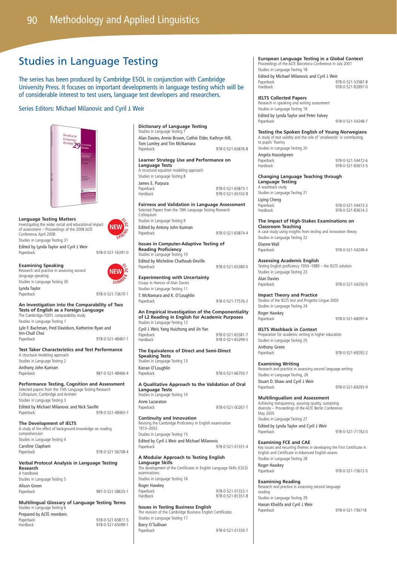# Studies in Language Testing

The series has been produced by Cambridge ESOL in conjunction with Cambridge University Press. It focuses on important developments in language testing which will be of considerable interest to test users, language test developers and researchers.

### Series Editors: Michael Milanovic and Cyril J. Weir



### **Language Testing Matters**

Investigating the wider social and educational impact of assessment – Proceedings of the 2008 ALTE Conference, April 2008 Studies in Language Testing 31

Edited by Lynda Taylor and Cyril J. Weir

**Examining Speaking**  Research and practice in assessing second language speaking Studies in Language Testing 30 Lynda Taylor Paperback 978-0-521-73670-1



Paperback 978-0-521-16391-0

**NEW W** SERIES

### **An Investigation into the Comparability of Two Tests of English as a Foreign Language** The Cambridge-TOEFL comparability study

Studies in Language Testing 1 Lyle F. Bachman, Fred Davidson, Katherine Ryan and Inn-Chull Choi

Paperback 978-0-521-48467-1

**Test Taker Characteristics and Test Performance** A structural modeling approach Studies in Language Testing 2 Anthony John Kunnan

Paperback 987-0-521-48466-4 **Performance Testing, Cognition and Assessment**

Selected papers from the 15th Language Testing Research Colloquium, Cambridge and Arnhem

Studies in Language Testing 3 Edited by Michael Milanovic and Nick Saville<br>Paperback 978-0-521-48465-7

### **The Development of IELTS**

A study of the effect of background knowledge on reading comprehension Studies in Language Testing 4 Caroline Clapham Paperback 978-0-521-56708-4

### **Verbal Protocol Analysis in Language Testing Research**

A handbook Studies in Language Testing 5 Alison Green Paperback 987-0-521-58635-1

**Multilingual Glossary of Language Testing Terms** Studies in Language Testing 6 Prepared by ALTE members

Paperback<br>Hardback

| 978-0-521-65877-5 |  |
|-------------------|--|
|                   |  |
| 978-0-521-65099-1 |  |

| Dictionary of Language Testing<br>Studies in Language Testing 7                                                                              |                                        |
|----------------------------------------------------------------------------------------------------------------------------------------------|----------------------------------------|
| Alan Davies, Annie Brown, Cathie Elder, Kathryn Hill,<br>Tom Lumley and Tim McNamara                                                         |                                        |
| Paperback                                                                                                                                    | 978-0-521-65876-8                      |
| Learner Strategy Use and Performance on<br><b>Language Tests</b><br>A structural equation modeling approach<br>Studies in Language Testing 8 |                                        |
| James E. Purpura<br>Paperback<br>Hardback                                                                                                    | 978-0-521-65875-1<br>978-0-521-65102-8 |
| <b>Fairness and Validation in Language Assessment</b><br>Selected Papers from the 19th Language Testing Research<br>Colloquium               |                                        |
| Studies in Language Testing 9                                                                                                                |                                        |
| Edited by Antony John Kunnan<br>Paperback                                                                                                    | 978-0-521-65874-4                      |
| <b>Issues in Computer-Adaptive Testing of</b><br><b>Reading Proficiency</b><br>Studies in Language Testing 10                                |                                        |
| Edited by Micheline Chalhoub-Deville<br>Paperback                                                                                            | 978-0-521-65380-0                      |
| <b>Experimenting with Uncertainty</b><br>Essays in Honour of Alan Davies<br>Studies in Language Testing 11                                   |                                        |
| T. McNamara and K. O'Loughlin<br>Paperback                                                                                                   | 978-0-521-77576-2                      |
| An Empirical Investigation of the Componentiality                                                                                            |                                        |
| of L2 Reading in English for Academic Purposes<br>Studies in Language Testing 12                                                             |                                        |
| Cyril J. Weir, Yang Huizhong and Jin Yan<br>Paperback<br>Hardback                                                                            | 978-0-521-65381-7<br>978-0-521-65299-5 |
| The Equivalence of Direct and Semi-Direct<br><b>Speaking Tests</b><br>Studies in Language Testing 13                                         |                                        |
| Kieran O'Loughlin<br>Paperback                                                                                                               | 978-0-521-66793-7                      |
| A Qualitative Approach to the Validation of Oral<br><b>Language Tests</b><br>Studies in Language Testing 14                                  |                                        |
| Anne Lazaraton<br>Paperback                                                                                                                  | 978-0-521-00267-7                      |
| <b>Continuity and Innovation</b><br>Revising the Cambridge Proficiency in English examination<br>1913-2002                                   |                                        |
| Studies in Language Testing 15<br>Edited by Cyril J. Weir and Michael Milanovic<br>Paperback                                                 | 978-0-521-01331-4                      |
| A Modular Approach to Testing English                                                                                                        |                                        |
| Language Skills<br>The development of the Certificates in English Language Skills (CELS)<br>examinations                                     |                                        |
| Studies in Language Testing 16<br>Roger Hawkey                                                                                               |                                        |

Paperback 1978-0-521-01332-1<br>Hardback 978-0-521-81351-8 978-0-521-81351-8

**Issues in Testing Business English** The revision of the Cambridge Business English Certificates Studies in Language Testing 17 Barry O'Sullivan Paperback 978-0-521-01330-7

### **European Language Testing in a Global Context** Proceedings of the ALTE Barcelona Conference in July 2001 Studies in Language Testing 18 Edited by Michael Milanovic and Cyril J. Weir Paperback 978-0-521-53587-8 Hardback 978-0-521-82897-0

### **IELTS Collected Papers**

Research in speaking and writing assessment Studies in Language Testing 19 Edited by Lynda Taylor and Peter Falvey Paperback 978-0-521-54248-7

**Testing the Spoken English of Young Norwegians** A study of test validity and the role of 'smallwords' in contributing to pupils' fluency Studies in Language Testing 20

Angela Hasselgreen

Paperback 978-0-521-54472-6 978-0-521-83613-5

### **Changing Language Teaching through Language Testing** A washback study

Studies in Language Testing 21 Liying Cheng

Paperback 978-0-521-54473-3 Hardback 978-0-521-83614-2

### **The Impact of High-Stakes Examinations on Classroom Teaching**

A case study using insights from testing and innovation theory Studies in Language Testing 22 Dianne Wall<br>Panerhack 978-0-521-54249-4

**Assessing Academic English** Testing English proficiency 1950–1989 – the IELTS solution Studies in Language Testing 23 Alan Davies Paperback 978-0-521-54250-0

**Impact Theory and Practice** Studies of the IELTS test and Progetto Lingue 2000 Studies in Language Testing 24 Roger Hawkey

Paperback 978-0-521-68097-4

### **IELTS Washback in Context** Preparation for academic writing in higher education Studies in Language Testing 25 Anthony Green<br>Paperback Paperback 978-0-521-69292-2

**Examining Writing** Research and practice in assessing second language writing Studies in Language Testing, 26 Stuart D. Shaw and Cyril J. Weir

Paperback 978-0-521-69293-9

### **Multilingualism and Assessment**

Achieving transparency, assuring quality, sustaining diversity – Proceedings of the ALTE Berlin Conference May 2005 Studies in Language Testing 27 Edited by Lynda Taylor and Cyril J. Weir Paperback 978-0-521-71192-0

### **Examining FCE and CAE**

Key issues and recurring themes in developing the First Certificate in English and Certificate in Advanced English exams Studies in Language Testing 28 Roger Hawkey<br>Paperback

978-0-521-73672-5

### **Examining Reading**  Research and practice in assessing second language reading Studies in Language Testing 29 Hanan Khalifa and Cyril J. Weir

Paperback 978-0-521-736718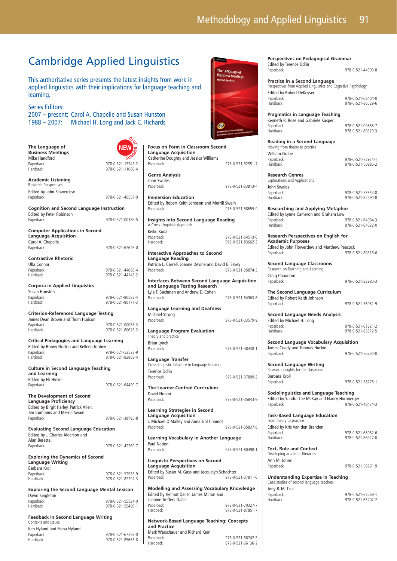# Cambridge Applied Linguistics

This authoritative series presents the latest insights from work in applied linguistics with their implications for language teaching and learning.

Series Editors:

2007 – present: Carol A. Chapelle and Susan Hunston 1988 – 2007: Michael H. Long and Jack C. Richards

| The Language of<br><b>Business Meetings</b><br>Mike Handford<br>Paperback<br>Hardback                                | 978-0-521-13343-2<br>978-0-521-11666-4 | <b>Focus on Form</b><br>Language Acq<br>Catherine Dought<br>Paperback                 |
|----------------------------------------------------------------------------------------------------------------------|----------------------------------------|---------------------------------------------------------------------------------------|
| <b>Academic Listening</b><br>Research Perspectives                                                                   |                                        | Genre Analysi<br>John Swales<br>Paperback                                             |
| Edited by John Flowerdew<br>Paperback                                                                                | 978-0-521-45551-0                      | <b>Immersion Edu</b><br><b>Edited by Robert</b>                                       |
| <b>Cognition and Second Language Instruction</b><br>Edited by Peter Robinson                                         |                                        | Paperback                                                                             |
| Paperback<br><b>Computer Applications in Second</b><br><b>Language Acquisition</b><br>Carol A. Chapelle              | 978-0-521-00386-5                      | <b>Insights into S</b><br>A Cross-Linguistic A<br>Keiko Koda<br>Paperback<br>Hardback |
| Paperback                                                                                                            | 978-0-521-62646-0                      | <b>Interactive Ap</b>                                                                 |
| <b>Contrastive Rhetoric</b><br><b>Ulla Connor</b><br>Paperback<br>Hardback                                           | 978-0-521-44688-4<br>978-0-521-44145-2 | Language Rea<br>Patricia L. Carrell.<br>Paperback                                     |
| <b>Corpora in Applied Linguistics</b><br>Susan Hunston<br>Paperback<br><b>Hardback</b>                               | 978-0-521-80583-4<br>978-0-521-80171-3 | <b>Interfaces Bety</b><br>and Language<br>Lyle F. Bachman a<br>Paperback              |
| <b>Criterion-Referenced Language Testing</b><br>James Dean Brown and Thom Hudson                                     |                                        | Language Lea<br>Michael Strong<br>Paperback                                           |
| Paperback<br>Hardback                                                                                                | 978-0-521-00083-3<br>978-0-521-80628-2 | Language Pro<br>Theory and practice                                                   |
| <b>Critical Pedagogies and Language Learning</b><br>Edited by Bonny Norton and Kelleen Toohey<br>Paperback           | Brian Lynch<br>Paperback               |                                                                                       |
| Hardback                                                                                                             | 978-0-521-53522-9<br>978-0-521-82802-4 | Language Trar<br>Cross-linguistic influ                                               |
| <b>Culture in Second Language Teaching</b><br>and Learning<br>Edited by Eli Hinkel                                   | Terence Odlin<br>Paperback             |                                                                                       |
| Paperback<br>The Development of Second                                                                               | 978-0-521-64490-7                      | The Learner-C<br>David Nunan                                                          |
| <b>Language Proficiency</b><br>Edited by Birgit Harley, Patrick Allen,<br>Jim Cummins and Merrill Swain<br>Paperback | 978-0-521-38795-8                      | Paperback<br><b>Learning Strat</b><br>Language Acq<br>J. Michael O'Mall               |
| <b>Evaluating Second Language Education</b>                                                                          |                                        | Paperback                                                                             |
| Edited by J. Charles Alderson and<br>Alan Beretta<br>Paperback                                                       | 978-0-521-42269-7                      | <b>Learning Voca</b><br>Paul Nation<br>Paperback                                      |
| <b>Exploring the Dynamics of Second</b><br><b>Language Writing</b><br>Barbara Kroll<br>Paperback<br>Hardback         | 978-0-521-52983-9<br>978-0-521-82292-3 | <b>Linguistic Pers</b><br>Language Acq<br>Edited by Susan M<br>Paperback              |
| <b>Exploring the Second Language Mental Lexicon</b><br>David Singleton<br>Paperback<br><b>Hardback</b>               | 978-0-521-55534-0<br>978-0-521-55496-1 | <b>Modelling and</b><br><b>Edited by Helmut</b><br>Jeanine Treffers-D<br>Paperback    |
| <b>Feedback in Second Language Writing</b>                                                                           |                                        | Hardback                                                                              |
| Contexts and Issues<br>Ken Hyland and Fiona Hyland<br>Paperback<br><b>Hardback</b>                                   | 978-0-521-67258-0<br>978-0-521-85663-8 | Network-Base<br>and Practice<br>Mark Warschauer<br>Paperback<br>Hardback              |
|                                                                                                                      |                                        |                                                                                       |



and Richard Kern

978-0-521-66742-5 978-0-521-66136-2



**Perspectives on Pedagogical Grammar** Edited by Terence Odlin Paperback 978-0-521-44990-8

**Practice in a Second Language** Perspectives from Applied Linguistics and Cognitive Psychology Edited by Robert DeKeyser<br>Paperback<br>Hardback 978-0-521-68404-0 978-0-521-86529-6

**Pragmatics in Language Teaching** Kenneth R. Rose and Gabriele Kasper Paperback 978-0-521-00858-7<br>Hardback 978-0-521-80379-3

Hardback 978-0-521-80379-3

**Reading in a Second Language**  Moving from theory to practice William Grabe<br>Paperback Paperback 978-0-521-72974-1

Hardback 978-0-521-50986-2

**Research Genres** Explorations and Applications John Swales<br>Paperback

Paperback 978-0-521-53334-8 978-0-521-82594-8

**Researching and Applying Metaphor** Edited by Lynne Cameron and Graham Low Paperback 978-0-521-64964-3 Hardback 978-0-521-64022-0

**Research Perspectives on English for Academic Purposes** Edited by John Flowerdew and Matthew Peacock<br>Panethack 978-0 Paperback 978-0-521-80518-6

**Second Language Classrooms** Research on Teaching and Learning Craig Chaudron Paperback 978-0-521-33980-3

**The Second Language Curriculum** Edited by Robert Keith Johnson Paperback 978-0-521-36961-9

**Second Language Needs Analysis** Edited by Michael H. Long Paperback 978-0-521-61821-2<br>Hardback 978-0-521-85312-5 Hardback 978-0-521-85312-5

**Second Language Vocabulary Acquisition** James Coady and Thomas Huckin<br>Paperback 978-0-521-56764-0

**Second Language Writing** Research insights for the classroom Barbara Kroll

Paperback 978-0-521-38778-1

**Sociolinguistics and Language Teaching** Edited by Sandra Lee McKay and Nancy Hornberger Paperback 978-0-521-48434-3

**Task-Based Language Education** From theory to practice Edited by Kris Van den Branden

Paperback 978-0-521-68952-6 978-0-521-86927-0

### **Text, Role and Context** Developing academic literacies

Ann M. Johns<br>Panerback

Paperback 978-0-521-56761-9

**Understanding Expertise in Teaching** Case studies of second language teachers Amy B. M. Tsui Paperback Hardback 978-0-521-63207-2

| 978-0-521-63569-1 |  |
|-------------------|--|
| 978-0-521-63207-2 |  |